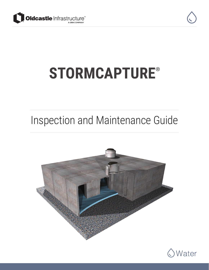



# **STORMCAPTURE**®

### Inspection and Maintenance Guide



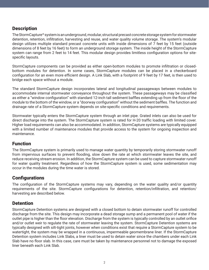#### **Description**

The StormCapture® system is an underground, modular, structural precast concrete storage system for stormwater detention, retention, infiltration, harvesting and reuse, and water quality volume storage. The system's modular design utilizes multiple standard precast concrete units with inside dimensions of 7 feet by 15 feet (outside dimensions of 8 feet by 16 feet) to form an underground storage system. The inside height of the StormCapture system can range from 2 feet to 14 feet. This modular design provides limitless configuration options for sitespecific layouts.

StormCapture components can be provided as either open-bottom modules to promote infiltration or closedbottom modules for detention. In some cases, StormCapture modules can be placed in a checkerboard configuration for an even more efficient design. A Link Slab, with a footprint of 9 feet by 17 feet, is then used to bridge each space without a module.

The standard StormCapture design incorporates lateral and longitudinal passageways between modules to accommodate internal stormwater conveyance throughout the system. These passageways may be classified as either a "window configuration" with standard 12-inch tall sediment baffles extending up from the floor of the module to the bottom of the window, or a "doorway configuration" without the sediment baffles. The function and drainage rate of a StormCapture system depends on site-specific conditions and requirements.

Stormwater typically enters the StormCapture system through an inlet pipe. Grated inlets can also be used for direct discharge into the system. The StormCapture system is rated for H-20 traffic loading with limited cover. Higher load requirements can also be accommodated. In addition, StormCapture systems are typically equipped with a limited number of maintenance modules that provide access to the system for ongoing inspection and maintenance.

#### **Function**

The StormCapture system is primarily used to manage water quantity by temporarily storing stormwater runoff from impervious surfaces to prevent flooding, slow down the rate at which stormwater leaves the site, and reduce receiving stream erosion. In addition, the StormCapture system can be used to capture stormwater runoff for water quality treatment. Regardless of how the StormCapture system is used, some sedimentation may occur in the modules during the time water is stored.

#### **Configurations**

The configuration of the StormCapture systems may vary, depending on the water quality and/or quantity requirements of the site. StormCapture configurations for detention, retention/infiltration, and retention/ harvesting are described below.

#### **Detention**

StormCapture Detention systems are designed with a closed bottom to detain stormwater runoff for controlled discharge from the site. This design may incorporate a dead storage sump and a permanent pool of water if the outlet pipe is higher than the floor elevation. Discharge from the system is typically controlled by an outlet orifice and/or outlet weir to regulate the rate of stormwater leaving the system. StormCapture Detention systems are typically designed with silt-tight joints, however when conditions exist that require a StormCapture system to be watertight, the system may be wrapped in a continuous, impermeable geomembrane liner. If the StormCapture Detention system includes Link Slabs, a liner must be used to detain water since the chambers under each Link Slab have no floor slab. In this case, care must be taken by maintenance personnel not to damage the exposed liner beneath each Link Slab.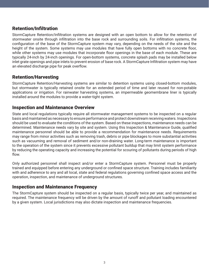#### Retention/Infiltration

StormCapture Retention/Infiltration systems are designed with an open bottom to allow for the retention of stormwater onsite through infiltration into the base rock and surrounding soils. For infiltration systems, the configuration of the base of the StormCapture system may vary, depending on the needs of the site and the height of the system. Some systems may use modules that have fully open bottoms with no concrete floor, while other systems may use modules that incorporate floor openings in the base of each module. These are typically 24-inch by 24-inch openings. For open-bottom systems, concrete splash pads may be installed below inlet grate openings and pipe inlets to prevent erosion of base rock. A StormCapture Infiltration system may have an elevated discharge pipe for peak overflow.

#### Retention/Harvesting

StormCapture Retention/Harvesting systems are similar to detention systems using closed-bottom modules, but stormwater is typically retained onsite for an extended period of time and later reused for non-potable applications or irrigation. For rainwater harvesting systems, an impermeable geomembrane liner is typically installed around the modules to provide a water-tight system.

#### Inspection and Maintenance Overview

State and local regulations typically require all stormwater management systems to be inspected on a regular basis and maintained as necessary to ensure performance and protect downstream receiving waters. Inspections should be used to evaluate the conditions of the system. Based on these inspections, maintenance needs can be determined. Maintenance needs vary by site and system. Using this Inspection & Maintenance Guide, qualified maintenance personnel should be able to provide a recommendation for maintenance needs. Requirements may range from minor activities such as removing trash, debris or pipe blockages to more substantial activities such as vacuuming and removal of sediment and/or non-draining water. Long-term maintenance is important to the operation of the system since it prevents excessive pollutant buildup that may limit system performance by reducing the operating capacity and increasing the potential for scouring of pollutants during periods of high flow.

Only authorized personnel shall inspect and/or enter a StormCapture system. Personnel must be properly trained and equipped before entering any underground or confined space structure. Training includes familiarity with and adherence to any and all local, state and federal regulations governing confined space access and the operation, inspection, and maintenance of underground structures.

#### Inspection and Maintenance Frequency

The StormCapture system should be inspected on a regular basis, typically twice per year, and maintained as required. The maintenance frequency will be driven by the amount of runoff and pollutant loading encountered by a given system. Local jurisdictions may also dictate inspection and maintenance frequencies.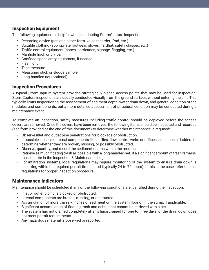#### Inspection Equipment

The following equipment is helpful when conducting StormCapture inspections:

- Recording device (pen and paper form, voice recorder, iPad, etc.)
- Suitable clothing (appropriate footwear, gloves, hardhat, safety glasses, etc.)
- Traffic control equipment (cones, barricades, signage, flagging, etc.)
- Manhole hook or pry bar
- Confined space entry equipment, if needed
- Flashlight
- Tape measure
- Measuring stick or sludge sampler
- Long-handled net (optional)

#### Inspection Procedures

A typical StormCapture system provides strategically placed access points that may be used for inspection. StormCapture inspections are usually conducted visually from the ground surface, without entering the unit. This typically limits inspection to the assessment of sediment depth, water drain down, and general condition of the modules and components, but a more detailed assessment of structural condition may be conducted during a maintenance event.

To complete an inspection, safety measures including traffic control should be deployed before the access covers are removed. Once the covers have been removed, the following items should be inspected and recorded (see form provided at the end of this document) to determine whether maintenance is required:

- Observe inlet and outlet pipe penetrations for blockage or obstruction.
- If possible, observe internal components like baffles, flow control weirs or orifices, and steps or ladders to determine whether they are broken, missing, or possibly obstructed.
- Observe, quantify, and record the sediment depths within the modules.
- Retrieve as much floating trash as possible with a long-handled net. If a significant amount of trash remains, make a note in the Inspection & Maintenance Log.
- For infiltration systems, local regulations may require monitoring of the system to ensure drain down is occurring within the required permit time period (typically 24 to 72 hours). If this is the case, refer to local regulations for proper inspection procedure.

#### Maintenance Indicators

Maintenance should be scheduled if any of the following conditions are identified during the inspection:

- Inlet or outlet piping is blocked or obstructed.
- Internal components are broken, missing, or obstructed.
- Accumulation of more than six inches of sediment on the system floor or in the sump, if applicable.
- Significant accumulation of floating trash and debris that cannot be retrieved with a net.
- The system has not drained completely after it hasn't rained for one to three days, or the drain down does not meet permit requirements.
- Any hazardous material is observed or reported.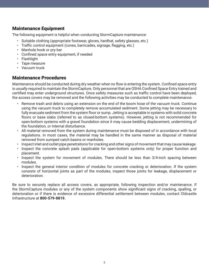#### Maintenance Equipment

The following equipment is helpful when conducting StormCapture maintenance:

- Suitable clothing (appropriate footwear, gloves, hardhat, safety glasses, etc.)
- Traffic control equipment (cones, barricades, signage, flagging, etc.)
- Manhole hook or pry bar
- Confined space entry equipment, if needed
- Flashlight
- Tape measure
- Vacuum truck

#### Maintenance Procedures

Maintenance should be conducted during dry weather when no flow is entering the system. Confined space entry is usually required to maintain the StormCapture. Only personnel that are OSHA Confined Space Entry trained and certified may enter underground structures. Once safety measures such as traffic control have been deployed, the access covers may be removed and the following activities may be conducted to complete maintenance:

- Remove trash and debris using an extension on the end of the boom hose of the vacuum truck. Continue using the vacuum truck to completely remove accumulated sediment. Some jetting may be necessary to fully evacuate sediment from the system floor or sump. Jetting is acceptable in systems with solid concrete floors or base slabs (referred to as closed-bottom systems). However, jetting is not recommended for open-bottom systems with a gravel foundation since it may cause bedding displacement, undermining of the foundation, or internal disturbance.
- All material removed from the system during maintenance must be disposed of in accordance with local regulations. In most cases, the material may be handled in the same manner as disposal of material removed from sumped catch basins or manholes.
- Inspect inlet and outlet pipe penetrations for cracking and other signs of movement that may cause leakage.
- Inspect the concrete splash pads (applicable for open-bottom systems only) for proper function and placement.
- Inspect the system for movement of modules. There should be less than 3/4-inch spacing between modules.
- Inspect the general interior condition of modules for concrete cracking or deterioration. If the system consists of horizontal joints as part of the modules, inspect those joints for leakage, displacement or deterioration.

Be sure to securely replace all access covers, as appropriate, following inspection and/or maintenance. If the StormCapture modules or any of the system components show significant signs of cracking, spalling, or deterioration or if there is evidence of excessive differential settlement between modules, contact Oldcastle Infrastructure at **800-579-8819.**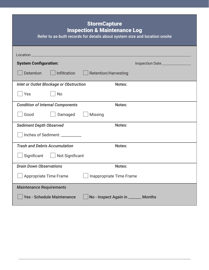| <b>StormCapture</b><br><b>Inspection &amp; Maintenance Log</b><br>Refer to as-built records for details about system size and location onsite |                                      |
|-----------------------------------------------------------------------------------------------------------------------------------------------|--------------------------------------|
|                                                                                                                                               |                                      |
| <b>System Configuration:</b>                                                                                                                  | Inspection Date_________________     |
| <b>Detention</b><br>Infiltration                                                                                                              | <b>Retention/Harvesting</b>          |
| <b>Inlet or Outlet Blockage or Obstruction</b>                                                                                                | Notes:                               |
| Yes<br><b>No</b>                                                                                                                              |                                      |
| <b>Condition of Internal Components</b>                                                                                                       | Notes:                               |
| Good<br>Damaged                                                                                                                               | <b>Missing</b>                       |
| <b>Sediment Depth Observed</b>                                                                                                                | Notes:                               |
| Inches of Sediment: _________                                                                                                                 |                                      |
| <b>Trash and Debris Accumulation</b>                                                                                                          | Notes:                               |
| Significant<br>Not Significant                                                                                                                |                                      |
| <b>Drain Down Observations</b>                                                                                                                | Notes:                               |
| Appropriate Time Frame                                                                                                                        | Inappropriate Time Frame             |
| <b>Maintenance Requirements</b>                                                                                                               |                                      |
| Yes - Schedule Maintenance                                                                                                                    | No - Inspect Again in _______ Months |